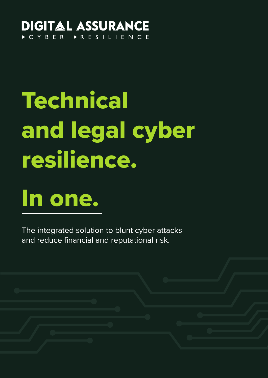#### **DIGITAL ASSURANCE ESILIENCE**  $\triangleright C Y B E R$

# Technical and legal cyber resilience.

## In one.

The integrated solution to blunt cyber attacks and reduce financial and reputational risk.